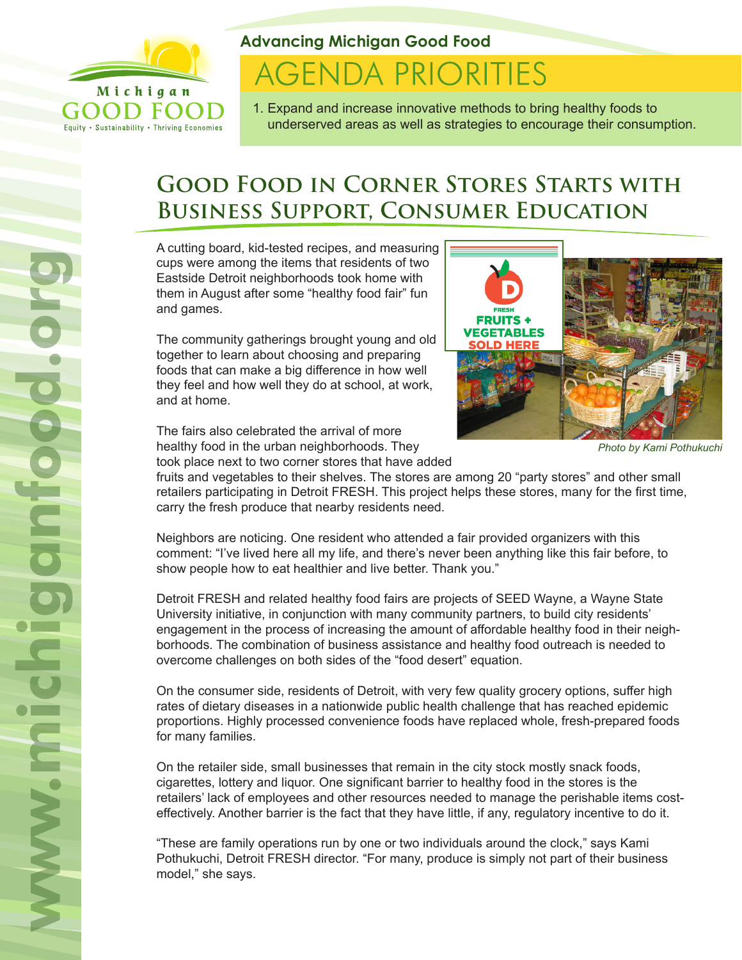

Equity . Sustainability . Thriving Economies

# **Advancing Michigan Good Food**

# **AGENDA PRIORITIES**

1. Expand and increase innovative methods to bring healthy foods to underserved areas as well as strategies to encourage their consumption.

# **Good Food in Corner Stores Starts with Business Support, Consumer Education**

A cutting board, kid-tested recipes, and measuring cups were among the items that residents of two Eastside Detroit neighborhoods took home with them in August after some "healthy food fair" fun and games.

The community gatherings brought young and old together to learn about choosing and preparing foods that can make a big difference in how well they feel and how well they do at school, at work, and at home.

The fairs also celebrated the arrival of more healthy food in the urban neighborhoods. They took place next to two corner stores that have added



*Photo by Kami Pothukuchi*

fruits and vegetables to their shelves. The stores are among 20 "party stores" and other small retailers participating in Detroit FRESH. This project helps these stores, many for the first time, carry the fresh produce that nearby residents need.

Neighbors are noticing. One resident who attended a fair provided organizers with this comment: "I've lived here all my life, and there's never been anything like this fair before, to show people how to eat healthier and live better. Thank you."

Detroit FRESH and related healthy food fairs are projects of SEED Wayne, a Wayne State University initiative, in conjunction with many community partners, to build city residents' engagement in the process of increasing the amount of affordable healthy food in their neighborhoods. The combination of business assistance and healthy food outreach is needed to overcome challenges on both sides of the "food desert" equation.

On the consumer side, residents of Detroit, with very few quality grocery options, suffer high rates of dietary diseases in a nationwide public health challenge that has reached epidemic proportions. Highly processed convenience foods have replaced whole, fresh-prepared foods for many families.

On the retailer side, small businesses that remain in the city stock mostly snack foods, cigarettes, lottery and liquor. One significant barrier to healthy food in the stores is the retailers' lack of employees and other resources needed to manage the perishable items costeffectively. Another barrier is the fact that they have little, if any, regulatory incentive to do it.

"These are family operations run by one or two individuals around the clock," says Kami Pothukuchi, Detroit FRESH director. "For many, produce is simply not part of their business model," she says.